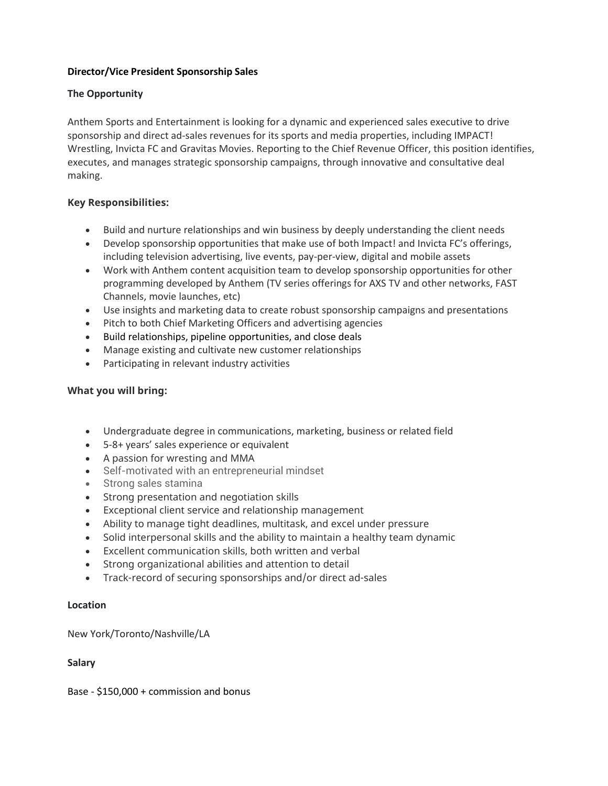# **Director/Vice President Sponsorship Sales**

# **The Opportunity**

Anthem Sports and Entertainment is looking for a dynamic and experienced sales executive to drive sponsorship and direct ad-sales revenues for its sports and media properties, including IMPACT! Wrestling, Invicta FC and Gravitas Movies. Reporting to the Chief Revenue Officer, this position identifies, executes, and manages strategic sponsorship campaigns, through innovative and consultative deal making.

# **Key Responsibilities:**

- Build and nurture relationships and win business by deeply understanding the client needs
- Develop sponsorship opportunities that make use of both Impact! and Invicta FC's offerings, including television advertising, live events, pay-per-view, digital and mobile assets
- Work with Anthem content acquisition team to develop sponsorship opportunities for other programming developed by Anthem (TV series offerings for AXS TV and other networks, FAST Channels, movie launches, etc)
- Use insights and marketing data to create robust sponsorship campaigns and presentations
- Pitch to both Chief Marketing Officers and advertising agencies
- Build relationships, pipeline opportunities, and close deals
- Manage existing and cultivate new customer relationships
- Participating in relevant industry activities

## **What you will bring:**

- Undergraduate degree in communications, marketing, business or related field
- 5-8+ years' sales experience or equivalent
- A passion for wresting and MMA
- Self-motivated with an entrepreneurial mindset
- Strong sales stamina
- Strong presentation and negotiation skills
- Exceptional client service and relationship management
- Ability to manage tight deadlines, multitask, and excel under pressure
- Solid interpersonal skills and the ability to maintain a healthy team dynamic
- Excellent communication skills, both written and verbal
- Strong organizational abilities and attention to detail
- Track-record of securing sponsorships and/or direct ad-sales

## **Location**

New York/Toronto/Nashville/LA

## **Salary**

Base - \$150,000 + commission and bonus